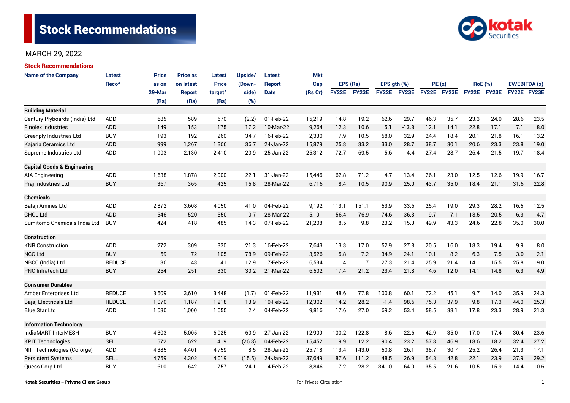

| <b>Stock Recommendations</b>           |                   |              |                 |                     |         |               |            |              |       |                  |              |             |      |                |      |               |      |
|----------------------------------------|-------------------|--------------|-----------------|---------------------|---------|---------------|------------|--------------|-------|------------------|--------------|-------------|------|----------------|------|---------------|------|
| <b>Name of the Company</b>             | Latest            | <b>Price</b> | <b>Price as</b> | Latest              | Upside/ | Latest        | <b>Mkt</b> |              |       |                  |              |             |      |                |      |               |      |
|                                        | Reco <sup>^</sup> | as on        | on latest       | <b>Price</b>        | (Down-  | <b>Report</b> | Cap        | EPS (Rs)     |       | $EPS$ qth $(\%)$ |              | PE(x)       |      | <b>RoE</b> (%) |      | EV/EBITDA (x) |      |
|                                        |                   | 29-Mar       | <b>Report</b>   | target <sup>^</sup> | side)   | <b>Date</b>   | (Rs Cr)    | <b>FY22E</b> | FY23E | <b>FY22E</b>     | <b>FY23E</b> | FY22E FY23E |      | FY22E FY23E    |      | FY22E FY23E   |      |
|                                        |                   | (Rs)         | (Rs)            | (Rs)                | (%)     |               |            |              |       |                  |              |             |      |                |      |               |      |
| <b>Building Material</b>               |                   |              |                 |                     |         |               |            |              |       |                  |              |             |      |                |      |               |      |
| Century Plyboards (India) Ltd          | <b>ADD</b>        | 685          | 589             | 670                 | (2.2)   | 01-Feb-22     | 15,219     | 14.8         | 19.2  | 62.6             | 29.7         | 46.3        | 35.7 | 23.3           | 24.0 | 28.6          | 23.5 |
| <b>Finolex Industries</b>              | <b>ADD</b>        | 149          | 153             | 175                 | 17.2    | 10-Mar-22     | 9,264      | 12.3         | 10.6  | 5.1              | $-13.8$      | 12.1        | 14.1 | 22.8           | 17.1 | 7.1           | 8.0  |
| <b>Greenply Industries Ltd</b>         | <b>BUY</b>        | 193          | 192             | 260                 | 34.7    | 16-Feb-22     | 2,330      | 7.9          | 10.5  | 58.0             | 32.9         | 24.4        | 18.4 | 20.1           | 21.8 | 16.1          | 13.2 |
| Kajaria Ceramics Ltd                   | <b>ADD</b>        | 999          | 1,267           | 1,366               | 36.7    | 24-Jan-22     | 15,879     | 25.8         | 33.2  | 33.0             | 28.7         | 38.7        | 30.1 | 20.6           | 23.3 | 23.8          | 19.0 |
| Supreme Industries Ltd                 | ADD               | 1,993        | 2,130           | 2,410               | 20.9    | 25-Jan-22     | 25,312     | 72.7         | 69.5  | $-5.6$           | $-4.4$       | 27.4        | 28.7 | 26.4           | 21.5 | 19.7          | 18.4 |
| <b>Capital Goods &amp; Engineering</b> |                   |              |                 |                     |         |               |            |              |       |                  |              |             |      |                |      |               |      |
| <b>AIA Engineering</b>                 | ADD               | 1,638        | 1,878           | 2,000               | 22.1    | 31-Jan-22     | 15,446     | 62.8         | 71.2  | 4.7              | 13.4         | 26.1        | 23.0 | 12.5           | 12.6 | 19.9          | 16.7 |
| Praj Industries Ltd                    | <b>BUY</b>        | 367          | 365             | 425                 | 15.8    | 28-Mar-22     | 6,716      | 8.4          | 10.5  | 90.9             | 25.0         | 43.7        | 35.0 | 18.4           | 21.1 | 31.6          | 22.8 |
| <b>Chemicals</b>                       |                   |              |                 |                     |         |               |            |              |       |                  |              |             |      |                |      |               |      |
| Balaji Amines Ltd                      | ADD               | 2,872        | 3,608           | 4,050               | 41.0    | 04-Feb-22     | 9,192      | 113.1        | 151.1 | 53.9             | 33.6         | 25.4        | 19.0 | 29.3           | 28.2 | 16.5          | 12.5 |
| <b>GHCL Ltd</b>                        | <b>ADD</b>        | 546          | 520             | 550                 | 0.7     | 28-Mar-22     | 5,191      | 56.4         | 76.9  | 74.6             | 36.3         | 9.7         | 7.1  | 18.5           | 20.5 | 6.3           | 4.7  |
| Sumitomo Chemicals India Ltd           | <b>BUY</b>        | 424          | 418             | 485                 | 14.3    | 07-Feb-22     | 21,208     | 8.5          | 9.8   | 23.2             | 15.3         | 49.9        | 43.3 | 24.6           | 22.8 | 35.0          | 30.0 |
| Construction                           |                   |              |                 |                     |         |               |            |              |       |                  |              |             |      |                |      |               |      |
| <b>KNR Construction</b>                | ADD               | 272          | 309             | 330                 | 21.3    | 16-Feb-22     | 7,643      | 13.3         | 17.0  | 52.9             | 27.8         | 20.5        | 16.0 | 18.3           | 19.4 | 9.9           | 8.0  |
| <b>NCC Ltd</b>                         | <b>BUY</b>        | 59           | 72              | 105                 | 78.9    | 09-Feb-22     | 3,526      | 5.8          | 7.2   | 34.9             | 24.1         | 10.1        | 8.2  | 6.3            | 7.5  | 3.0           | 2.1  |
| NBCC (India) Ltd                       | <b>REDUCE</b>     | 36           | 43              | 41                  | 12.9    | 17-Feb-22     | 6,534      | 1.4          | 1.7   | 27.3             | 21.4         | 25.9        | 21.4 | 14.1           | 15.5 | 25.8          | 19.0 |
| <b>PNC Infratech Ltd</b>               | <b>BUY</b>        | 254          | 251             | 330                 | 30.2    | 21-Mar-22     | 6,502      | 17.4         | 21.2  | 23.4             | 21.8         | 14.6        | 12.0 | 14.1           | 14.8 | 6.3           | 4.9  |
| <b>Consumer Durables</b>               |                   |              |                 |                     |         |               |            |              |       |                  |              |             |      |                |      |               |      |
| Amber Enterprises Ltd                  | <b>REDUCE</b>     | 3,509        | 3,610           | 3,448               | (1.7)   | 01-Feb-22     | 11,931     | 48.6         | 77.8  | 100.8            | 60.1         | 72.2        | 45.1 | 9.7            | 14.0 | 35.9          | 24.3 |
| Bajaj Electricals Ltd                  | <b>REDUCE</b>     | 1,070        | 1,187           | 1,218               | 13.9    | 10-Feb-22     | 12,302     | 14.2         | 28.2  | $-1.4$           | 98.6         | 75.3        | 37.9 | 9.8            | 17.3 | 44.0          | 25.3 |
| <b>Blue Star Ltd</b>                   | <b>ADD</b>        | 1,030        | 1,000           | 1,055               | 2.4     | 04-Feb-22     | 9,816      | 17.6         | 27.0  | 69.2             | 53.4         | 58.5        | 38.1 | 17.8           | 23.3 | 28.9          | 21.3 |
| <b>Information Technology</b>          |                   |              |                 |                     |         |               |            |              |       |                  |              |             |      |                |      |               |      |
| IndiaMART InterMESH                    | <b>BUY</b>        | 4,303        | 5,005           | 6,925               | 60.9    | 27-Jan-22     | 12,909     | 100.2        | 122.8 | 8.6              | 22.6         | 42.9        | 35.0 | 17.0           | 17.4 | 30.4          | 23.6 |
| <b>KPIT Technologies</b>               | <b>SELL</b>       | 572          | 622             | 419                 | (26.8)  | 04-Feb-22     | 15,452     | 9.9          | 12.2  | 90.4             | 23.2         | 57.8        | 46.9 | 18.6           | 18.2 | 32.4          | 27.2 |
| NIIT Technologies (Coforge)            | ADD               | 4,385        | 4,401           | 4,759               | 8.5     | 28-Jan-22     | 25,718     | 113.4        | 143.0 | 50.8             | 26.1         | 38.7        | 30.7 | 25.2           | 26.4 | 21.3          | 17.1 |
| <b>Persistent Systems</b>              | <b>SELL</b>       | 4,759        | 4,302           | 4,019               | (15.5)  | 24-Jan-22     | 37,649     | 87.6         | 111.2 | 48.5             | 26.9         | 54.3        | 42.8 | 22.1           | 23.9 | 37.9          | 29.2 |
| Quess Corp Ltd                         | <b>BUY</b>        | 610          | 642             | 757                 | 24.1    | 14-Feb-22     | 8,846      | 17.2         | 28.2  | 341.0            | 64.0         | 35.5        | 21.6 | 10.5           | 15.9 | 14.4          | 10.6 |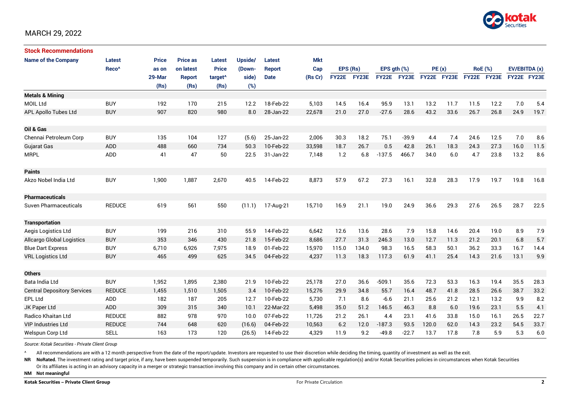

| <b>Stock Recommendations</b>       |                   |              |                 |                     |         |               |            |              |       |                  |              |             |      |                |      |               |      |
|------------------------------------|-------------------|--------------|-----------------|---------------------|---------|---------------|------------|--------------|-------|------------------|--------------|-------------|------|----------------|------|---------------|------|
| <b>Name of the Company</b>         | Latest            | <b>Price</b> | <b>Price as</b> | <b>Latest</b>       | Upside/ | <b>Latest</b> | <b>Mkt</b> |              |       |                  |              |             |      |                |      |               |      |
|                                    | Reco <sup>^</sup> | as on        | on latest       | <b>Price</b>        | (Down-  | <b>Report</b> | Cap        | EPS (Rs)     |       | EPS $qth$ $(\%)$ |              | PE(x)       |      | <b>RoE</b> (%) |      | EV/EBITDA (x) |      |
|                                    |                   | 29-Mar       | Report          | target <sup>^</sup> | side)   | <b>Date</b>   | (Rs Cr)    | <b>FY22E</b> | FY23E | <b>FY22E</b>     | <b>FY23E</b> | FY22E FY23E |      | FY22E FY23E    |      | FY22E FY23E   |      |
|                                    |                   | (Rs)         | (Rs)            | (Rs)                | (%)     |               |            |              |       |                  |              |             |      |                |      |               |      |
| <b>Metals &amp; Mining</b>         |                   |              |                 |                     |         |               |            |              |       |                  |              |             |      |                |      |               |      |
| <b>MOIL Ltd</b>                    | <b>BUY</b>        | 192          | 170             | 215                 | 12.2    | 18-Feb-22     | 5,103      | 14.5         | 16.4  | 95.9             | 13.1         | 13.2        | 11.7 | 11.5           | 12.2 | 7.0           | 5.4  |
| <b>APL Apollo Tubes Ltd</b>        | <b>BUY</b>        | 907          | 820             | 980                 | 8.0     | 28-Jan-22     | 22,678     | 21.0         | 27.0  | $-27.6$          | 28.6         | 43.2        | 33.6 | 26.7           | 26.8 | 24.9          | 19.7 |
|                                    |                   |              |                 |                     |         |               |            |              |       |                  |              |             |      |                |      |               |      |
| Oil & Gas                          |                   |              |                 |                     |         |               |            |              |       |                  |              |             |      |                |      |               |      |
| Chennai Petroleum Corp             | <b>BUY</b>        | 135          | 104             | 127                 | (5.6)   | 25-Jan-22     | 2,006      | 30.3         | 18.2  | 75.1             | $-39.9$      | 4.4         | 7.4  | 24.6           | 12.5 | 7.0           | 8.6  |
| <b>Gujarat Gas</b>                 | <b>ADD</b>        | 488          | 660             | 734                 | 50.3    | 10-Feb-22     | 33,598     | 18.7         | 26.7  | 0.5              | 42.8         | 26.1        | 18.3 | 24.3           | 27.3 | 16.0          | 11.5 |
| <b>MRPL</b>                        | ADD               | 41           | 47              | 50                  | 22.5    | 31-Jan-22     | 7,148      | 1.2          | 6.8   | $-137.5$         | 466.7        | 34.0        | 6.0  | 4.7            | 23.8 | 13.2          | 8.6  |
|                                    |                   |              |                 |                     |         |               |            |              |       |                  |              |             |      |                |      |               |      |
| <b>Paints</b>                      |                   |              |                 |                     |         |               |            |              |       |                  |              |             |      |                |      |               |      |
| Akzo Nobel India Ltd               | <b>BUY</b>        | 1,900        | 1,887           | 2,670               | 40.5    | 14-Feb-22     | 8,873      | 57.9         | 67.2  | 27.3             | 16.1         | 32.8        | 28.3 | 17.9           | 19.7 | 19.8          | 16.8 |
|                                    |                   |              |                 |                     |         |               |            |              |       |                  |              |             |      |                |      |               |      |
| <b>Pharmaceuticals</b>             |                   |              |                 |                     |         |               |            |              |       |                  |              |             |      |                |      |               |      |
| <b>Suven Pharmaceuticals</b>       | <b>REDUCE</b>     | 619          | 561             | 550                 | (11.1)  | 17-Aug-21     | 15,710     | 16.9         | 21.1  | 19.0             | 24.9         | 36.6        | 29.3 | 27.6           | 26.5 | 28.7          | 22.5 |
|                                    |                   |              |                 |                     |         |               |            |              |       |                  |              |             |      |                |      |               |      |
| <b>Transportation</b>              |                   |              |                 |                     |         |               |            |              |       |                  |              |             |      |                |      |               |      |
| Aegis Logistics Ltd                | <b>BUY</b>        | 199          | 216             | 310                 | 55.9    | 14-Feb-22     | 6,642      | 12.6         | 13.6  | 28.6             | 7.9          | 15.8        | 14.6 | 20.4           | 19.0 | 8.9           | 7.9  |
| Allcargo Global Logistics          | <b>BUY</b>        | 353          | 346             | 430                 | 21.8    | 15-Feb-22     | 8,686      | 27.7         | 31.3  | 246.3            | 13.0         | 12.7        | 11.3 | 21.2           | 20.1 | 6.8           | 5.7  |
| <b>Blue Dart Express</b>           | <b>BUY</b>        | 6,710        | 6,926           | 7,975               | 18.9    | 01-Feb-22     | 15,970     | 115.0        | 134.0 | 98.3             | 16.5         | 58.3        | 50.1 | 36.2           | 33.3 | 16.7          | 14.4 |
| <b>VRL Logistics Ltd</b>           | <b>BUY</b>        | 465          | 499             | 625                 | 34.5    | 04-Feb-22     | 4,237      | 11.3         | 18.3  | 117.3            | 61.9         | 41.1        | 25.4 | 14.3           | 21.6 | 13.1          | 9.9  |
|                                    |                   |              |                 |                     |         |               |            |              |       |                  |              |             |      |                |      |               |      |
| <b>Others</b>                      |                   |              |                 |                     |         |               |            |              |       |                  |              |             |      |                |      |               |      |
| Bata India Ltd                     | <b>BUY</b>        | 1,952        | 1,895           | 2,380               | 21.9    | 10-Feb-22     | 25,178     | 27.0         | 36.6  | $-509.1$         | 35.6         | 72.3        | 53.3 | 16.3           | 19.4 | 35.5          | 28.3 |
| <b>Central Depository Services</b> | <b>REDUCE</b>     | 1,455        | 1,510           | 1,505               | 3.4     | 10-Feb-22     | 15,276     | 29.9         | 34.8  | 55.7             | 16.4         | 48.7        | 41.8 | 28.5           | 26.6 | 38.7          | 33.2 |
| <b>EPL Ltd</b>                     | <b>ADD</b>        | 182          | 187             | 205                 | 12.7    | 10-Feb-22     | 5,730      | 7.1          | 8.6   | $-6.6$           | 21.1         | 25.6        | 21.2 | 12.1           | 13.2 | 9.9           | 8.2  |
| JK Paper Ltd                       | ADD               | 309          | 315             | 340                 | 10.1    | 22-Mar-22     | 5,498      | 35.0         | 51.2  | 146.5            | 46.3         | 8.8         | 6.0  | 19.6           | 23.1 | 5.5           | 4.1  |
| Radico Khaitan Ltd                 | <b>REDUCE</b>     | 882          | 978             | 970                 | 10.0    | 07-Feb-22     | 11,726     | 21.2         | 26.1  | 4.4              | 23.1         | 41.6        | 33.8 | 15.0           | 16.1 | 26.5          | 22.7 |
| <b>VIP Industries Ltd</b>          | <b>REDUCE</b>     | 744          | 648             | 620                 | (16.6)  | 04-Feb-22     | 10,563     | 6.2          | 12.0  | $-187.3$         | 93.5         | 120.0       | 62.0 | 14.3           | 23.2 | 54.5          | 33.7 |
| Welspun Corp Ltd                   | <b>SELL</b>       | 163          | 173             | 120                 | (26.5)  | 14-Feb-22     | 4,329      | 11.9         | 9.2   | $-49.8$          | $-22.7$      | 13.7        | 17.8 | 7.8            | 5.9  | 5.3           | 6.0  |

*Source: Kotak Securities - Private Client Group*

All recommendations are with a 12 month perspective from the date of the report/update. Investors are requested to use their discretion while deciding the timing, quantity of investment as well as the exit.

NR NoRated. The investment rating and target price, if any, have been suspended temporarily. Such suspension is in compliance with applicable regulation(s) and/or Kotak Securities policies in circumstances when Kotak Secur

Or its affiliates is acting in an advisory capacity in a merger or strategic transaction involving this company and in certain other circumstances.

**NM Not meaningful**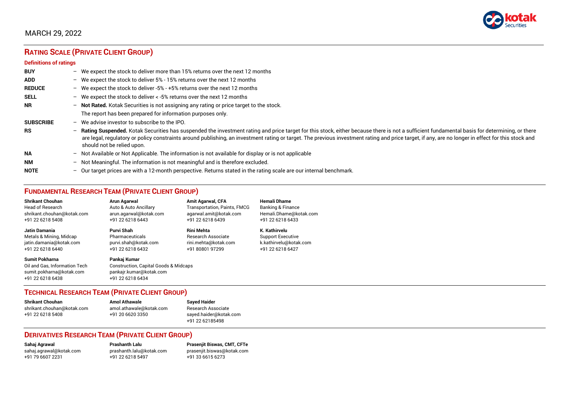

# **RATING SCALE (PRIVATE CLIENT GROUP)**

#### **Definitions of ratings**

| <b>BUY</b>       | - We expect the stock to deliver more than 15% returns over the next 12 months                                                                                                                                                                                                                                                                                                                                                     |
|------------------|------------------------------------------------------------------------------------------------------------------------------------------------------------------------------------------------------------------------------------------------------------------------------------------------------------------------------------------------------------------------------------------------------------------------------------|
| <b>ADD</b>       | - We expect the stock to deliver 5% - 15% returns over the next 12 months                                                                                                                                                                                                                                                                                                                                                          |
| <b>REDUCE</b>    | - We expect the stock to deliver -5% - +5% returns over the next 12 months                                                                                                                                                                                                                                                                                                                                                         |
| <b>SELL</b>      | - We expect the stock to deliver $\lt$ -5% returns over the next 12 months                                                                                                                                                                                                                                                                                                                                                         |
| <b>NR</b>        | - Not Rated. Kotak Securities is not assigning any rating or price target to the stock.                                                                                                                                                                                                                                                                                                                                            |
|                  | The report has been prepared for information purposes only.                                                                                                                                                                                                                                                                                                                                                                        |
| <b>SUBSCRIBE</b> | $-$ We advise investor to subscribe to the IPO.                                                                                                                                                                                                                                                                                                                                                                                    |
| <b>RS</b>        | - Rating Suspended. Kotak Securities has suspended the investment rating and price target for this stock, either because there is not a sufficient fundamental basis for determining, or there<br>are legal, regulatory or policy constraints around publishing, an investment rating or target. The previous investment rating and price target, if any, are no longer in effect for this stock and<br>should not be relied upon. |
| <b>NA</b>        | $-$ Not Available or Not Applicable. The information is not available for display or is not applicable                                                                                                                                                                                                                                                                                                                             |
| <b>NM</b>        | - Not Meaningful. The information is not meaningful and is therefore excluded.                                                                                                                                                                                                                                                                                                                                                     |
| <b>NOTE</b>      | $-$ Our target prices are with a 12-month perspective. Returns stated in the rating scale are our internal benchmark.                                                                                                                                                                                                                                                                                                              |

## **FUNDAMENTAL RESEARCH TEAM (PRIVATE CLIENT GROUP)**

| <b>Shrikant Chouhan</b>                                                                                | <b>Arun Agarwal</b>                                                                                             | <b>Amit Agarwal, CFA</b>            | <b>Hemali Dhame</b>          |
|--------------------------------------------------------------------------------------------------------|-----------------------------------------------------------------------------------------------------------------|-------------------------------------|------------------------------|
| <b>Head of Research</b>                                                                                | Auto & Auto Ancillary                                                                                           | <b>Transportation, Paints, FMCG</b> | <b>Banking &amp; Finance</b> |
| shrikant.chouhan@kotak.com                                                                             | arun.agarwal@kotak.com                                                                                          | agarwal.amit@kotak.com              | Hemali.Dhame@kotak.com       |
| +91 22 6218 5408                                                                                       | +91 22 6218 6443                                                                                                | +91 22 6218 6439                    | +91 22 6218 6433             |
| Jatin Damania                                                                                          | Purvi Shah                                                                                                      | <b>Rini Mehta</b>                   | K. Kathirvelu                |
| Metals & Mining, Midcap                                                                                | Pharmaceuticals                                                                                                 | <b>Research Associate</b>           | <b>Support Executive</b>     |
| jatin.damania@kotak.com                                                                                | purvi.shah@kotak.com                                                                                            | rini.mehta@kotak.com                | k.kathirvelu@kotak.com       |
| +91 22 6218 6440                                                                                       | +91 22 6218 6432                                                                                                | +91 80801 97299                     | +91 22 6218 6427             |
| <b>Sumit Pokharna</b><br>Oil and Gas, Information Tech<br>sumit.pokharna@kotak.com<br>+91 22 6218 6438 | Pankaj Kumar<br><b>Construction, Capital Goods &amp; Midcaps</b><br>pankajr.kumar@kotak.com<br>+91 22 6218 6434 |                                     |                              |

## **TECHNICAL RESEARCH TEAM (PRIVATE CLIENT GROUP)**

| <b>Shrikant Chouhan</b>    | <b>Amol Athawale</b>    |  |
|----------------------------|-------------------------|--|
| shrikant.chouhan@kotak.com | amol.athawale@kotak.com |  |
| +91 22 6218 5408           | +91 20 6620 3350        |  |
|                            |                         |  |

#### **Sayed Haider** Research Associate [sayed.haider@kotak.com](mailto:sayed.haider@kotak.com) +91 22 62185498

## **DERIVATIVES RESEARCH TEAM (PRIVATE CLIENT GROUP)**

[sahaj.agrawal@kotak.com](mailto:sahaj.agrawal@kotak.com) [prashanth.lalu@kotak.com](mailto:prashanth.lalu@kotak.com) [prasenjit.biswas@kotak.com](mailto:prasenjit.biswas@kotak.com) +91 22 6218 5497 +91 33 6615 6273

**Sahaj Agrawal Prashanth Lalu Prasenjit Biswas, CMT, CFTe**